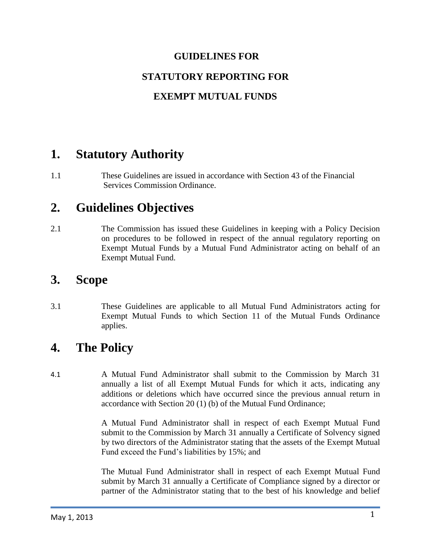#### **GUIDELINES FOR**

### **STATUTORY REPORTING FOR**

### **EXEMPT MUTUAL FUNDS**

## **1. Statutory Authority**

1.1 These Guidelines are issued in accordance with Section 43 of the Financial Services Commission Ordinance.

## **2. Guidelines Objectives**

2.1 The Commission has issued these Guidelines in keeping with a Policy Decision on procedures to be followed in respect of the annual regulatory reporting on Exempt Mutual Funds by a Mutual Fund Administrator acting on behalf of an Exempt Mutual Fund.

## **3. Scope**

3.1 These Guidelines are applicable to all Mutual Fund Administrators acting for Exempt Mutual Funds to which Section 11 of the Mutual Funds Ordinance applies.

## **4. The Policy**

4.1 A Mutual Fund Administrator shall submit to the Commission by March 31 annually a list of all Exempt Mutual Funds for which it acts, indicating any additions or deletions which have occurred since the previous annual return in accordance with Section 20 (1) (b) of the Mutual Fund Ordinance;

> A Mutual Fund Administrator shall in respect of each Exempt Mutual Fund submit to the Commission by March 31 annually a Certificate of Solvency signed by two directors of the Administrator stating that the assets of the Exempt Mutual Fund exceed the Fund's liabilities by 15%; and

> The Mutual Fund Administrator shall in respect of each Exempt Mutual Fund submit by March 31 annually a Certificate of Compliance signed by a director or partner of the Administrator stating that to the best of his knowledge and belief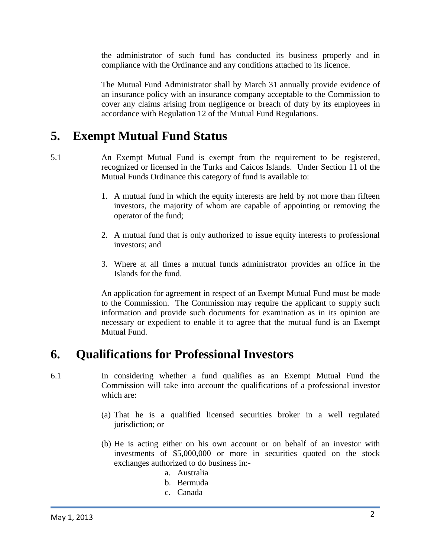the administrator of such fund has conducted its business properly and in compliance with the Ordinance and any conditions attached to its licence.

The Mutual Fund Administrator shall by March 31 annually provide evidence of an insurance policy with an insurance company acceptable to the Commission to cover any claims arising from negligence or breach of duty by its employees in accordance with Regulation 12 of the Mutual Fund Regulations.

# **5. Exempt Mutual Fund Status**

- 5.1 An Exempt Mutual Fund is exempt from the requirement to be registered, recognized or licensed in the Turks and Caicos Islands. Under Section 11 of the Mutual Funds Ordinance this category of fund is available to:
	- 1. A mutual fund in which the equity interests are held by not more than fifteen investors, the majority of whom are capable of appointing or removing the operator of the fund;
	- 2. A mutual fund that is only authorized to issue equity interests to professional investors; and
	- 3. Where at all times a mutual funds administrator provides an office in the Islands for the fund.

An application for agreement in respect of an Exempt Mutual Fund must be made to the Commission. The Commission may require the applicant to supply such information and provide such documents for examination as in its opinion are necessary or expedient to enable it to agree that the mutual fund is an Exempt Mutual Fund.

## **6. Qualifications for Professional Investors**

- 6.1 In considering whether a fund qualifies as an Exempt Mutual Fund the Commission will take into account the qualifications of a professional investor which are:
	- (a) That he is a qualified licensed securities broker in a well regulated jurisdiction; or
	- (b) He is acting either on his own account or on behalf of an investor with investments of \$5,000,000 or more in securities quoted on the stock exchanges authorized to do business in:
		- a. Australia
		- b. Bermuda
		- c. Canada